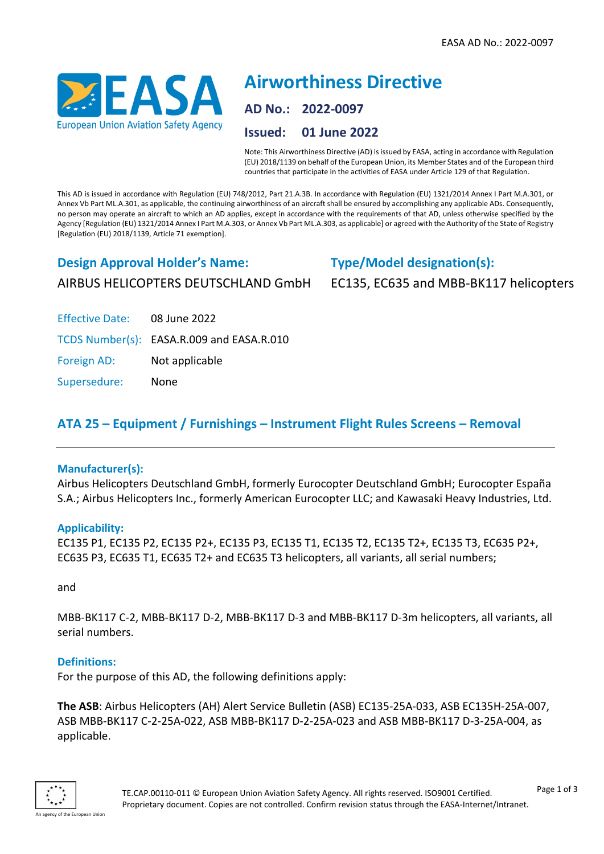

# **Airworthiness Directive AD No.: 2022-0097 Issued: 01 June 2022**

Note: This Airworthiness Directive (AD) is issued by EASA, acting in accordance with Regulation (EU) 2018/1139 on behalf of the European Union, its Member States and of the European third countries that participate in the activities of EASA under Article 129 of that Regulation.

This AD is issued in accordance with Regulation (EU) 748/2012, Part 21.A.3B. In accordance with Regulation (EU) 1321/2014 Annex I Part M.A.301, or Annex Vb Part ML.A.301, as applicable, the continuing airworthiness of an aircraft shall be ensured by accomplishing any applicable ADs. Consequently, no person may operate an aircraft to which an AD applies, except in accordance with the requirements of that AD, unless otherwise specified by the Agency [Regulation (EU) 1321/2014 Annex I Part M.A.303, or Annex Vb Part ML.A.303, as applicable] or agreed with the Authority of the State of Registry [Regulation (EU) 2018/1139, Article 71 exemption].

# **Design Approval Holder's Name:** AIRBUS HELICOPTERS DEUTSCHLAND GmbH

# **Type/Model designation(s):**

EC135, EC635 and MBB-BK117 helicopters

Effective Date: 08 June 2022

TCDS Number(s): EASA.R.009 and EASA.R.010

Foreign AD: Not applicable

Supersedure: None

# **ATA 25 – Equipment / Furnishings – Instrument Flight Rules Screens – Removal**

# **Manufacturer(s):**

Airbus Helicopters Deutschland GmbH, formerly Eurocopter Deutschland GmbH; Eurocopter España S.A.; Airbus Helicopters Inc., formerly American Eurocopter LLC; and Kawasaki Heavy Industries, Ltd.

# **Applicability:**

EC135 P1, EC135 P2, EC135 P2+, EC135 P3, EC135 T1, EC135 T2, EC135 T2+, EC135 T3, EC635 P2+, EC635 P3, EC635 T1, EC635 T2+ and EC635 T3 helicopters, all variants, all serial numbers;

and

MBB-BK117 C-2, MBB-BK117 D-2, MBB-BK117 D-3 and MBB-BK117 D-3m helicopters, all variants, all serial numbers.

# **Definitions:**

For the purpose of this AD, the following definitions apply:

**The ASB**: Airbus Helicopters (AH) Alert Service Bulletin (ASB) EC135-25A-033, ASB EC135H-25A-007, ASB MBB-BK117 C-2-25A-022, ASB MBB-BK117 D-2-25A-023 and ASB MBB-BK117 D-3-25A-004, as applicable.

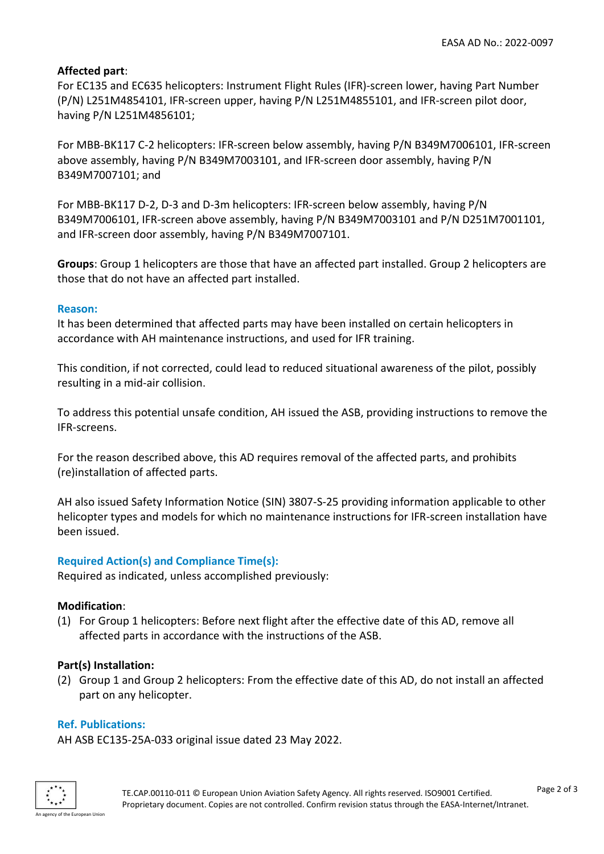## **Affected part**:

For EC135 and EC635 helicopters: Instrument Flight Rules (IFR)-screen lower, having Part Number (P/N) L251M4854101, IFR-screen upper, having P/N L251M4855101, and IFR-screen pilot door, having P/N L251M4856101;

For MBB-BK117 C-2 helicopters: IFR-screen below assembly, having P/N B349M7006101, IFR-screen above assembly, having P/N B349M7003101, and IFR-screen door assembly, having P/N B349M7007101; and

For MBB-BK117 D-2, D-3 and D-3m helicopters: IFR-screen below assembly, having P/N B349M7006101, IFR-screen above assembly, having P/N B349M7003101 and P/N D251M7001101, and IFR-screen door assembly, having P/N B349M7007101.

**Groups**: Group 1 helicopters are those that have an affected part installed. Group 2 helicopters are those that do not have an affected part installed.

#### **Reason:**

It has been determined that affected parts may have been installed on certain helicopters in accordance with AH maintenance instructions, and used for IFR training.

This condition, if not corrected, could lead to reduced situational awareness of the pilot, possibly resulting in a mid-air collision.

To address this potential unsafe condition, AH issued the ASB, providing instructions to remove the IFR-screens.

For the reason described above, this AD requires removal of the affected parts, and prohibits (re)installation of affected parts.

AH also issued Safety Information Notice (SIN) 3807-S-25 providing information applicable to other helicopter types and models for which no maintenance instructions for IFR-screen installation have been issued.

## **Required Action(s) and Compliance Time(s):**

Required as indicated, unless accomplished previously:

## **Modification**:

(1) For Group 1 helicopters: Before next flight after the effective date of this AD, remove all affected parts in accordance with the instructions of the ASB.

## **Part(s) Installation:**

(2) Group 1 and Group 2 helicopters: From the effective date of this AD, do not install an affected part on any helicopter.

## **Ref. Publications:**

AH ASB EC135-25A-033 original issue dated 23 May 2022.